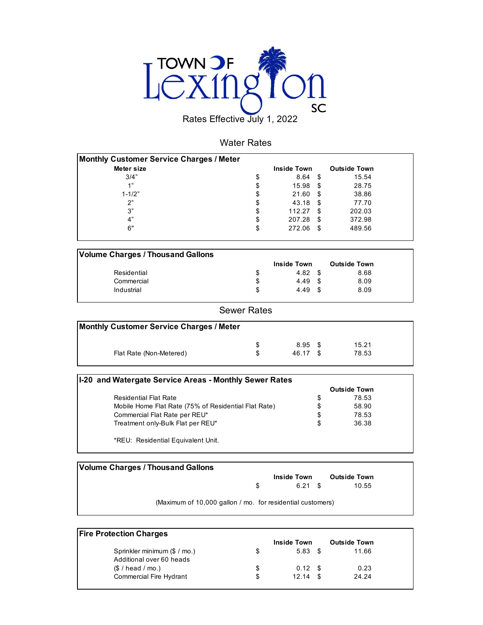

#### Water Rates

| Meter size | <b>Inside Town</b> |      | <b>Outside Town</b> |
|------------|--------------------|------|---------------------|
| 3/4"       | \$<br>8.64         | - \$ | 15.54               |
| 1"         | \$<br>15.98        | \$   | 28.75               |
| $1 - 1/2"$ | \$<br>21.60        | -\$  | 38.86               |
| 2"         | \$<br>43.18        | - \$ | 77.70               |
| 3"         | \$<br>112.27       | - \$ | 202.03              |
| 4"         | \$<br>207.28       | -\$  | 372.98              |
| 6"         | \$<br>272.06       | \$   | 489.56              |

| <b>Volume Charges / Thousand Gallons</b> |               |                     |  |
|------------------------------------------|---------------|---------------------|--|
|                                          | Inside Town   | <b>Outside Town</b> |  |
| Residential                              | \$<br>4.82 \$ | 8.68                |  |
| Commercial                               | \$<br>4.49 \$ | 8.09                |  |
| Industrial                               | \$<br>4.49 \$ | 8.09                |  |

#### Sewer Rates

| <b>Monthly Customer Service Charges / Meter</b> |           |       |  |
|-------------------------------------------------|-----------|-------|--|
| S.                                              | $8.95$ \$ | 15.21 |  |
| Flat Rate (Non-Metered)                         | 46.17 \$  | 78.53 |  |

| I-20 and Watergate Service Areas - Monthly Sewer Rates |                     |  |
|--------------------------------------------------------|---------------------|--|
|                                                        | <b>Outside Town</b> |  |
| <b>Residential Flat Rate</b>                           | \$<br>78.53         |  |
| Mobile Home Flat Rate (75% of Residential Flat Rate)   | \$<br>58.90         |  |
| Commercial Flat Rate per REU*                          | \$<br>78.53         |  |
| Treatment only-Bulk Flat per REU*                      | \$<br>36.38         |  |
| *REU: Residential Equivalent Unit.                     |                     |  |

| <b>Volume Charges / Thousand Gallons</b>                   |     |                    |                     |
|------------------------------------------------------------|-----|--------------------|---------------------|
|                                                            |     | <b>Inside Town</b> | <b>Outside Town</b> |
|                                                            | -SS | $6.21$ \$          | 10.55               |
| (Maximum of 10,000 gallon / mo. for residential customers) |     |                    |                     |

| <b>Fire Protection Charges</b> |    |                    |  |                     |  |  |  |  |  |
|--------------------------------|----|--------------------|--|---------------------|--|--|--|--|--|
|                                |    | <b>Inside Town</b> |  | <b>Outside Town</b> |  |  |  |  |  |
| Sprinkler minimum (\$ / mo.)   | S  | $5.83$ \$          |  | 11.66               |  |  |  |  |  |
| Additional over 60 heads       |    |                    |  |                     |  |  |  |  |  |
| (S / head / mo.)               | \$ | $0.12 \quad$ \$    |  | 0.23                |  |  |  |  |  |
| <b>Commercial Fire Hydrant</b> | \$ | 12.14              |  | 24.24               |  |  |  |  |  |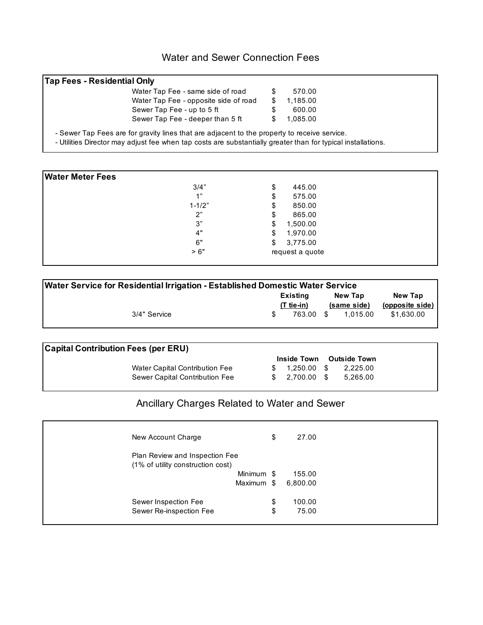### Water and Sewer Connection Fees

| <b>Tap Fees - Residential Only</b> |                                                                                                                                                                                                              |    |          |  |
|------------------------------------|--------------------------------------------------------------------------------------------------------------------------------------------------------------------------------------------------------------|----|----------|--|
|                                    | Water Tap Fee - same side of road                                                                                                                                                                            | S  | 570.00   |  |
|                                    | Water Tap Fee - opposite side of road                                                                                                                                                                        | S. | 1.185.00 |  |
|                                    | Sewer Tap Fee - up to 5 ft                                                                                                                                                                                   | S  | 600.00   |  |
|                                    | Sewer Tap Fee - deeper than 5 ft                                                                                                                                                                             | S. | 1.085.00 |  |
|                                    | - Sewer Tap Fees are for gravity lines that are adjacent to the property to receive service.<br>- Utilities Director may adjust fee when tap costs are substantially greater than for typical installations. |    |          |  |

| \$<br>\$<br>\$ | 445.00<br>575.00<br>850.00 |
|----------------|----------------------------|
|                |                            |
|                |                            |
|                |                            |
| \$             | 865.00                     |
| \$             | 1,500.00                   |
| \$             | 1,970.00                   |
| \$             | 3,775.00                   |
|                | request a quote            |
|                |                            |

| Water Service for Residential Irrigation - Established Domestic Water Service |  |                          |      |                        |                            |  |  |  |
|-------------------------------------------------------------------------------|--|--------------------------|------|------------------------|----------------------------|--|--|--|
|                                                                               |  | Existing<br>$(T$ tie-in) |      | New Tap<br>(same side) | New Tap<br>(opposite side) |  |  |  |
| 3/4" Service                                                                  |  | 763.00                   | - \$ | 1.015.00               | \$1.630.00                 |  |  |  |

| <b>Capital Contribution Fees (per ERU)</b> |                                |                    |                     |
|--------------------------------------------|--------------------------------|--------------------|---------------------|
|                                            |                                | <b>Inside Town</b> | <b>Outside Town</b> |
|                                            | Water Capital Contribution Fee | \$ 1.250.00 \$     | 2,225.00            |
|                                            | Sewer Capital Contribution Fee | \$ 2.700.00 \$     | 5.265.00            |

## Ancillary Charges Related to Water and Sewer

| New Account Charge                | \$<br>27.00  |
|-----------------------------------|--------------|
| Plan Review and Inspection Fee    |              |
| (1% of utility construction cost) |              |
| Minimum \$                        | 155.00       |
| Maximum \$                        | 6,800.00     |
| Sewer Inspection Fee              | \$<br>100.00 |
| Sewer Re-inspection Fee           | \$<br>75.00  |
|                                   |              |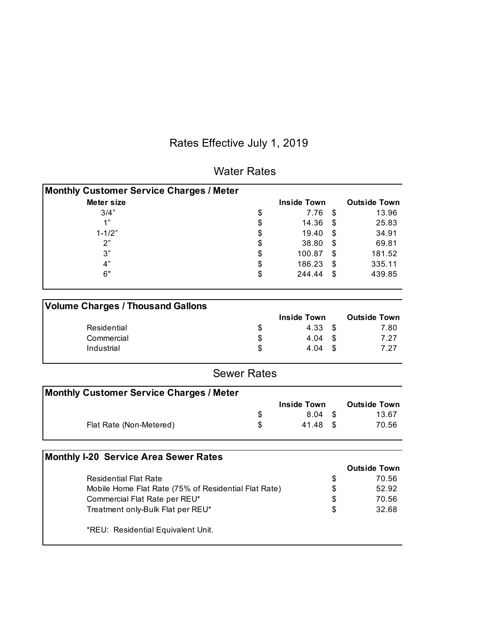# Rates Effective July 1, 2019

| <b>Monthly Customer Service Charges / Meter</b>      |                    |                    |                     |
|------------------------------------------------------|--------------------|--------------------|---------------------|
| <b>Meter size</b>                                    |                    | <b>Inside Town</b> | <b>Outside Town</b> |
| 3/4"                                                 | \$                 | 7.76               | \$<br>13.96         |
| 1"                                                   | \$                 | 14.36              | \$<br>25.83         |
| $1 - 1/2"$                                           | \$                 | 19.40              | \$<br>34.91         |
| 2"                                                   | \$                 | 38.80              | \$<br>69.81         |
| 3"                                                   | \$                 | 100.87             | \$<br>181.52        |
| 4"                                                   | \$                 | 186.23             | \$<br>335.11        |
| 6"                                                   | \$                 | 244.44             | \$<br>439.85        |
| <b>Volume Charges / Thousand Gallons</b>             |                    |                    |                     |
|                                                      |                    | <b>Inside Town</b> | <b>Outside Town</b> |
| Residential                                          | \$                 | 4.33               | \$<br>7.80          |
| Commercial                                           | \$                 | 4.04               | \$<br>7.27          |
| Industrial                                           | \$                 | 4.04               | \$<br>7.27          |
|                                                      | <b>Sewer Rates</b> |                    |                     |
| <b>Monthly Customer Service Charges / Meter</b>      |                    |                    |                     |
|                                                      |                    | <b>Inside Town</b> | <b>Outside Town</b> |
|                                                      | \$                 | 8.04               | \$<br>13.67         |
| Flat Rate (Non-Metered)                              | \$                 | 41.48              | \$<br>70.56         |
| <b>Monthly I-20 Service Area Sewer Rates</b>         |                    |                    |                     |
|                                                      |                    |                    | <b>Outside Town</b> |
| <b>Residential Flat Rate</b>                         |                    |                    | \$<br>70.56         |
| Mobile Home Flat Rate (75% of Residential Flat Rate) |                    |                    | \$<br>52.92         |
| Commercial Flat Rate per REU*                        |                    |                    | \$<br>70.56         |
| Treatment only-Bulk Flat per REU*                    |                    |                    | \$<br>32.68         |
| *REU: Residential Equivalent Unit.                   |                    |                    |                     |
|                                                      |                    |                    |                     |

### Water Rates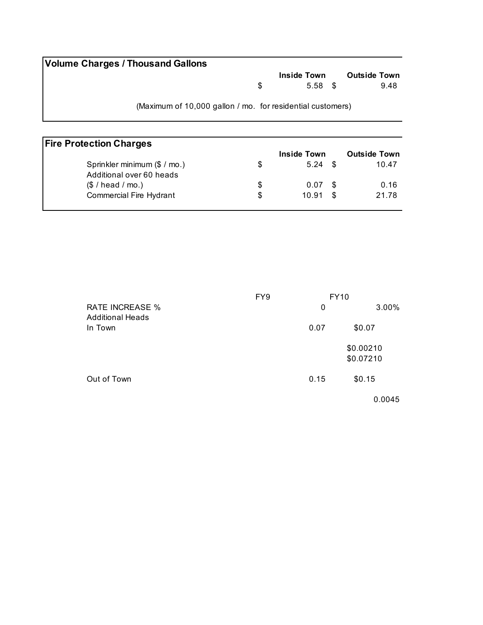| <b>Volume Charges / Thousand Gallons</b>                   |     |                    |                     |      |
|------------------------------------------------------------|-----|--------------------|---------------------|------|
|                                                            |     | <b>Inside Town</b> | <b>Outside Town</b> |      |
|                                                            | SS. | 5.58 \$            |                     | 9.48 |
| (Maximum of 10,000 gallon / mo. for residential customers) |     |                    |                     |      |

| <b>Fire Protection Charges</b> |   |                    |                     |
|--------------------------------|---|--------------------|---------------------|
|                                |   | <b>Inside Town</b> | <b>Outside Town</b> |
| Sprinkler minimum (\$ / mo.)   |   | $5.24$ \$          | 10.47               |
| Additional over 60 heads       |   |                    |                     |
| (\$ / head / mo.)              | S | 0.07 <sup>5</sup>  | 0.16                |
| <b>Commercial Fire Hydrant</b> | S | 10.91              | 21.78               |
|                                |   |                    |                     |

|                                                   | FY <sub>9</sub> |      | <b>FY10</b>            |
|---------------------------------------------------|-----------------|------|------------------------|
| <b>RATE INCREASE %</b><br><b>Additional Heads</b> |                 | 0    | 3.00%                  |
| In Town                                           |                 | 0.07 | \$0.07                 |
|                                                   |                 |      | \$0.00210<br>\$0.07210 |
| Out of Town                                       |                 | 0.15 | \$0.15                 |
|                                                   |                 |      | 0.0045                 |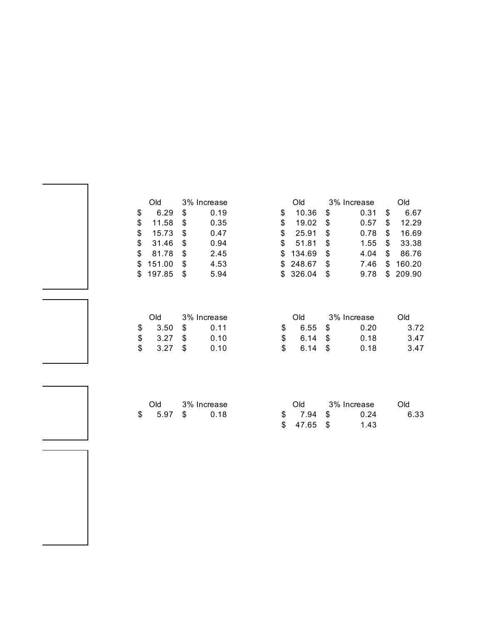|     | Old    |    | 3% Increase |     | Old      |      | 3% Increase |    | Old    |
|-----|--------|----|-------------|-----|----------|------|-------------|----|--------|
| \$  | 6.29   | \$ | 0.19        | S   | 10.36    | S    | 0.31        | \$ | 6.67   |
| S   | 11.58  | \$ | 0.35        | S   | 19.02    | -S   | 0.57        | S  | 12.29  |
| S   | 15.73  | S  | 0.47        | S   | 25.91    | \$.  | 0.78        | S  | 16.69  |
| \$  | 31.46  | S  | 0.94        | S   | 51.81    | \$   | 1.55        | \$ | 33.38  |
| \$  | 81.78  | S  | 2.45        |     | \$134.69 | \$.  | 4.04        | S  | 86.76  |
| \$. | 151.00 | \$ | 4.53        |     | \$248.67 | - \$ | 7.46        | S  | 160.20 |
| \$. | 197.85 | S  | 5.94        | SS. | 326.04   | - \$ | 9.78        | S. | 209.90 |

|            |  |                 | Old 3% Increase       |      |      |  | Old — | 3% Increase | Old. |
|------------|--|-----------------|-----------------------|------|------|--|-------|-------------|------|
|            |  | $$3.50$ \$ 0.11 | $\texttt{\$}$ 6.55 \$ | 0.20 | 3.72 |  |       |             |      |
| $$3.27$ \$ |  | 0.10            | $$6.14$ \$            | 0.18 | 3.47 |  |       |             |      |
|            |  | 0.10            | $$6.14$ \$            | 0.18 | 3.47 |  |       |             |      |

|  | Old 3% Increase | <b>Old</b> | 3% Increase | Old. |  |  |
|--|-----------------|------------|-------------|------|--|--|
|  | \$ 5.97 \$ 0.18 | \$7.94 \$  | 0.24        | 6.33 |  |  |
|  |                 | \$47.65\$  | 1.43        |      |  |  |

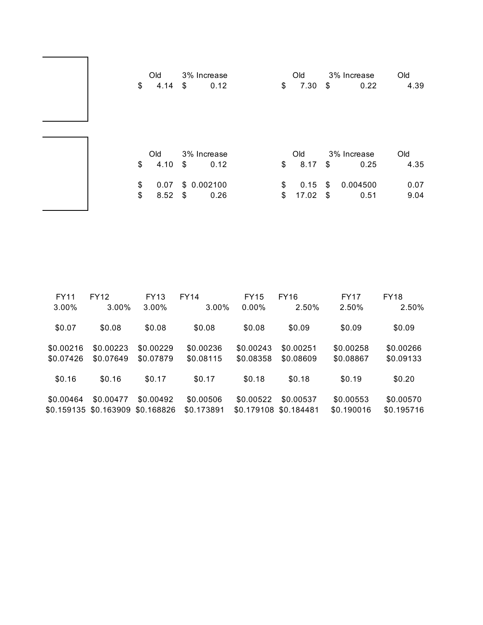| \$                   | Old<br>4.14         | 3% Increase<br>0.12<br>\$               | \$       | Old<br>7.30         | \$       | 3% Increase<br>0.22             | Old<br>4.39         |
|----------------------|---------------------|-----------------------------------------|----------|---------------------|----------|---------------------------------|---------------------|
| $\mathfrak{S}$<br>\$ | Old<br>4.10<br>0.07 | 3% Increase<br>\$<br>0.12<br>\$0.002100 | \$<br>\$ | Old<br>8.17<br>0.15 | \$<br>\$ | 3% Increase<br>0.25<br>0.004500 | Old<br>4.35<br>0.07 |
| $\$\$                | 8.52                | \$<br>0.26                              | \$       | 17.02               | \$       | 0.51                            | 9.04                |

| <b>FY11</b> | <b>FY12</b> | FY13       | <b>FY14</b> | <b>FY15</b> | <b>FY16</b> | <b>FY17</b> | <b>FY18</b> |
|-------------|-------------|------------|-------------|-------------|-------------|-------------|-------------|
| 3.00%       | 3.00%       | $3.00\%$   | 3.00%       | $0.00\%$    | 2.50%       | 2.50%       | 2.50%       |
| \$0.07      | \$0.08      | \$0.08     | \$0.08      | \$0.08      | \$0.09      | \$0.09      | \$0.09      |
| \$0.00216   | \$0.00223   | \$0.00229  | \$0.00236   | \$0.00243   | \$0.00251   | \$0.00258   | \$0.00266   |
| \$0.07426   | \$0.07649   | \$0.07879  | \$0.08115   | \$0.08358   | \$0.08609   | \$0.08867   | \$0.09133   |
| \$0.16      | \$0.16      | \$0.17     | \$0.17      | \$0.18      | \$0.18      | \$0.19      | \$0.20      |
| \$0.00464   | \$0.00477   | \$0.00492  | \$0.00506   | \$0.00522   | \$0.00537   | \$0.00553   | \$0.00570   |
| \$0.159135  | \$0.163909  | \$0.168826 | \$0.173891  | \$0.179108  | \$0.184481  | \$0.190016  | \$0.195716  |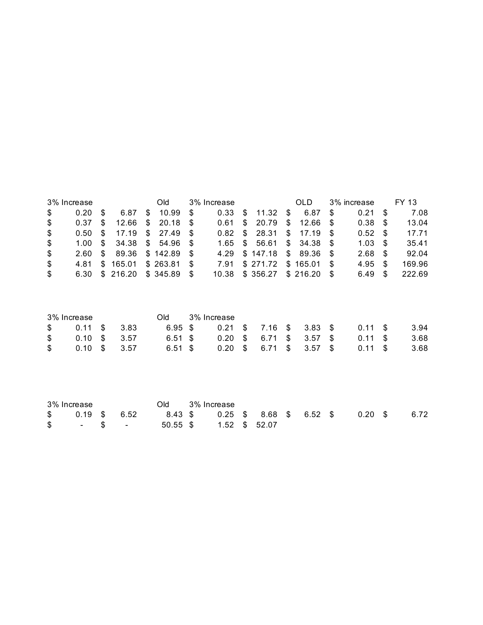|     | 3% Increase       |     |                             |              | Old                 |      | 3% Increase |                          | OLD.                        |      | 3% increase       |      | FY 13  |
|-----|-------------------|-----|-----------------------------|--------------|---------------------|------|-------------|--------------------------|-----------------------------|------|-------------------|------|--------|
| \$  | 0.20              | -S  | 6.87                        | $\mathbb{S}$ | 10.99               | - \$ | 0.33        | \$ 11.32 \$              | 6.87                        | - \$ | 0.21              | - \$ | 7.08   |
| \$  | 0.37              | -SS |                             |              | $12.66$ \$ 20.18 \$ |      | 0.61        |                          | $$20.79$ \$12.66 \$         |      | 0.38 <sup>5</sup> |      | 13.04  |
| \$  | 0.50 <sup>5</sup> |     |                             |              | 17.19 \$ 27.49 \$   |      |             | $0.82$ \$ 28.31 \$ 17.19 |                             | - \$ | $0.52$ \$         |      | 17.71  |
| \$  | 1.00 S            |     |                             |              | 34.38 \$ 54.96 \$   |      |             |                          | $1.65$ \$ 56.61 \$ 34.38 \$ |      | 1.03 <sup>5</sup> |      | 35.41  |
| \$  |                   |     | 2.60 \$ 89.36 \$ 142.89     |              |                     |      |             | 4.29 \$147.18 \$89.36    |                             | - \$ | 2.68 <sup>5</sup> |      | 92.04  |
| \$  | 4.81              |     | \$165.01                    |              | $$263.81$ \$        |      | 7.91        | \$271.72 \$165.01        |                             | - \$ | $4.95$ \$         |      | 169.96 |
| \$. |                   |     | 6.30 \$ 216.20 \$ 345.89 \$ |              |                     |      |             | 10.38 \$356.27 \$216.20  |                             | - \$ | 6.49              | \$.  | 222.69 |

| 3% Increase                                                                                                                                                                                                                                                                                                                                                                                                                                                                           |  | Old.    | 3% Increase |  |  |                                                                                                                                                                                                                                                                                                                                                                                           |       |
|---------------------------------------------------------------------------------------------------------------------------------------------------------------------------------------------------------------------------------------------------------------------------------------------------------------------------------------------------------------------------------------------------------------------------------------------------------------------------------------|--|---------|-------------|--|--|-------------------------------------------------------------------------------------------------------------------------------------------------------------------------------------------------------------------------------------------------------------------------------------------------------------------------------------------------------------------------------------------|-------|
| $\text{\$} \qquad \text{\$} \qquad \text{\$} \qquad \text{\$} \qquad \text{\$} \qquad \text{\$} \qquad \text{\$} \qquad \text{\$} \qquad \text{\$} \qquad \text{\$} \qquad \text{\$} \qquad \text{\$} \qquad \text{\$} \qquad \text{\$} \qquad \text{\$} \qquad \text{\$} \qquad \text{\$} \qquad \text{\$} \qquad \text{\$} \qquad \text{\$} \qquad \text{\$} \qquad \text{\$} \qquad \text{\$} \qquad \text{\$} \qquad \text{\$} \qquad \text{\$} \qquad \text{\$} \qquad \text{\$$ |  |         |             |  |  | 6.95 \$ 0.21 \$ 7.16 \$ 3.83 \$ 0.11 \$                                                                                                                                                                                                                                                                                                                                                   | 3.94  |
| $$0.10 \text{ } $3.57$                                                                                                                                                                                                                                                                                                                                                                                                                                                                |  | 6.51 \$ |             |  |  | 0.20 \$ 6.71 \$ 3.57 \$ 0.11 \$                                                                                                                                                                                                                                                                                                                                                           | -3.68 |
| $$0.10 \text{ } $3.57$                                                                                                                                                                                                                                                                                                                                                                                                                                                                |  | 6.51 \$ |             |  |  | $0.20 \quad $6.71 \quad $3.57 \quad $0.11 \quad $3.57 \quad $0.11 \quad $3.57 \quad $0.11 \quad $3.57 \quad $0.11 \quad $3.57 \quad $0.11 \quad $3.57 \quad $0.11 \quad $3.57 \quad $0.11 \quad $3.57 \quad $0.11 \quad $3.57 \quad $0.11 \quad $3.57 \quad $0.11 \quad $3.57 \quad $0.11 \quad $3.57 \quad $0.11 \quad $3.57 \quad $0.11 \quad $3.57 \quad $0.11 \quad $3.57 \quad $0.1$ | -3.68 |

| 3% Increase |  |                                                                                                                                                                                                                                                                                                                                                                                                                                                                                       | Old 3% Increase |  |  |                                                         |      |
|-------------|--|---------------------------------------------------------------------------------------------------------------------------------------------------------------------------------------------------------------------------------------------------------------------------------------------------------------------------------------------------------------------------------------------------------------------------------------------------------------------------------------|-----------------|--|--|---------------------------------------------------------|------|
|             |  |                                                                                                                                                                                                                                                                                                                                                                                                                                                                                       |                 |  |  | $$0.19$ \$ 6.52 8.43 \$ 0.25 \$ 8.68 \$ 6.52 \$ 0.20 \$ | 6.72 |
|             |  | $\text{\$} \qquad \text{\$} \qquad \text{\$} \qquad \text{\$} \qquad \text{\$} \qquad \text{\$} \qquad \text{\$} \qquad \text{\$} \qquad \text{\$} \qquad \text{\$} \qquad \text{\$} \qquad \text{\$} \qquad \text{\$} \qquad \text{\$} \qquad \text{\$} \qquad \text{\$} \qquad \text{\$} \qquad \text{\$} \qquad \text{\$} \qquad \text{\$} \qquad \text{\$} \qquad \text{\$} \qquad \text{\$} \qquad \text{\$} \qquad \text{\$} \qquad \text{\$} \qquad \text{\$} \qquad \text{\$$ |                 |  |  |                                                         |      |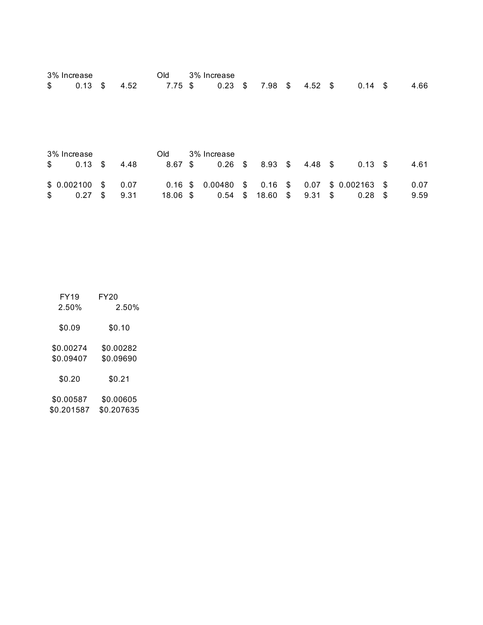| 3% Increase          |               |      | Old        | 3% Increase |                  |                 |                 |      |      |
|----------------------|---------------|------|------------|-------------|------------------|-----------------|-----------------|------|------|
| \$<br>$0.13$ \$      |               | 4.52 | $7.75$ \$  | $0.23$ \$   | $7.98$ \$        | $4.52$ \$       | $0.14-5$        |      | 4.66 |
|                      |               |      |            |             |                  |                 |                 |      |      |
| 3% Increase          |               |      | Old        | 3% Increase |                  |                 |                 |      |      |
| \$<br>$0.13 \quad $$ |               | 4.48 | $8.67$ \$  | $0.26$ \$   | $8.93$ \$        | 4.48 \$         | $0.13 \quad$ \$ |      | 4.61 |
| \$0.002100           | $\mathcal{S}$ | 0.07 | $0.16$ \$  | 0.00480     | $$0.16$ \$       | 0.07            | $$0.002163$ \$  |      | 0.07 |
| \$<br>0.27           | \$            | 9.31 | $18.06$ \$ | 0.54        | \$<br>$18.60$ \$ | $9.31 \quad$ \$ | 0.28            | - \$ | 9.59 |

FY19 FY20 2.50% 2.50% \$0.09 \$0.10 \$0.00274 \$0.00282 \$0.09407 \$0.09690 \$0.20 \$0.21 \$0.00587 \$0.00605 \$0.201587 \$0.207635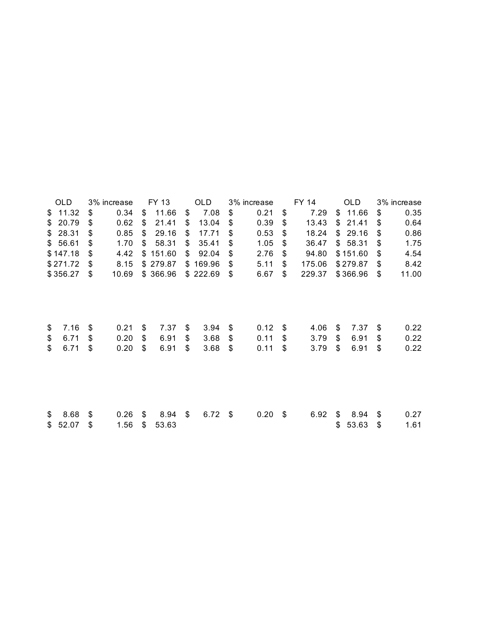| OLD.        | 3% increase |    | FY 13    | OLD             | 3% increase |    | FY 14  | <b>OLD</b>  | 3% increase |
|-------------|-------------|----|----------|-----------------|-------------|----|--------|-------------|-------------|
| \$<br>11.32 | \$<br>0.34  | \$ | 11.66    | \$<br>7.08      | \$<br>0.21  | \$ | 7.29   | \$<br>11.66 | \$<br>0.35  |
| \$<br>20.79 | \$<br>0.62  | \$ | 21.41    | \$<br>13.04     | \$<br>0.39  | \$ | 13.43  | \$<br>21.41 | \$<br>0.64  |
| \$28.31     | \$<br>0.85  | S  | 29.16    | \$<br>17.71     | \$<br>0.53  | S  | 18.24  | \$<br>29.16 | \$<br>0.86  |
| \$56.61     | \$<br>1.70  | \$ | 58.31    | \$<br>35.41     | \$<br>1.05  | \$ | 36.47  | \$<br>58.31 | \$<br>1.75  |
| \$147.18    | \$<br>4.42  | \$ | 151.60   | \$<br>92.04     | \$<br>2.76  | \$ | 94.80  | \$151.60    | \$<br>4.54  |
| \$271.72    | \$<br>8.15  |    | \$279.87 | \$<br>169.96    | \$<br>5.11  | \$ | 175.06 | \$279.87    | \$<br>8.42  |
| \$356.27    | \$<br>10.69 |    | \$366.96 | \$222.69        | \$<br>6.67  | \$ | 229.37 | \$366.96    | \$<br>11.00 |
|             |             |    |          |                 |             |    |        |             |             |
| \$<br>7.16  | \$<br>0.21  | \$ | 7.37     | \$<br>3.94      | \$<br>0.12  | \$ | 4.06   | \$<br>7.37  | \$<br>0.22  |
| \$<br>6.71  | \$<br>0.20  | \$ | 6.91     | \$<br>3.68      | \$<br>0.11  | \$ | 3.79   | \$<br>6.91  | \$<br>0.22  |
| \$<br>6.71  | \$<br>0.20  | \$ | 6.91     | \$<br>3.68      | \$<br>0.11  | \$ | 3.79   | \$<br>6.91  | \$<br>0.22  |
|             |             |    |          |                 |             |    |        |             |             |
| \$<br>8.68  | \$<br>0.26  | \$ | 8.94     | \$<br>$6.72$ \$ | 0.20        | \$ | 6.92   | \$<br>8.94  | \$<br>0.27  |
| \$<br>52.07 | \$<br>1.56  | \$ | 53.63    |                 |             |    |        | \$<br>53.63 | \$<br>1.61  |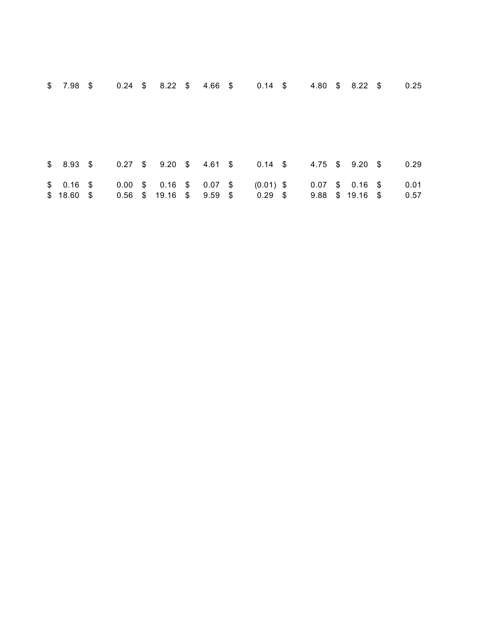| $$7.98$ \$  |  | $0.24$ \$ 8.22 \$ 4.66 \$ 0.14 \$                                          |  |           |  | 4.80 \$ 8.22 \$                                  | 0.25         |
|-------------|--|----------------------------------------------------------------------------|--|-----------|--|--------------------------------------------------|--------------|
|             |  | \$ 8.93 \$ 0.27 \$ 9.20 \$ 4.61 \$ 0.14 \$ 4.75 \$ 9.20 \$                 |  |           |  |                                                  | 0.29         |
| $$18.60$ \$ |  | \$ 0.16 \$ 0.00 \$ 0.16 \$ 0.07 \$ (0.01) \$<br>$0.56$ \$ 19.16 \$ 9.59 \$ |  | $0.29$ \$ |  | $0.07$ \$ 0.16 \$<br>$9.88 \quad $19.16 \quad $$ | 0.01<br>0.57 |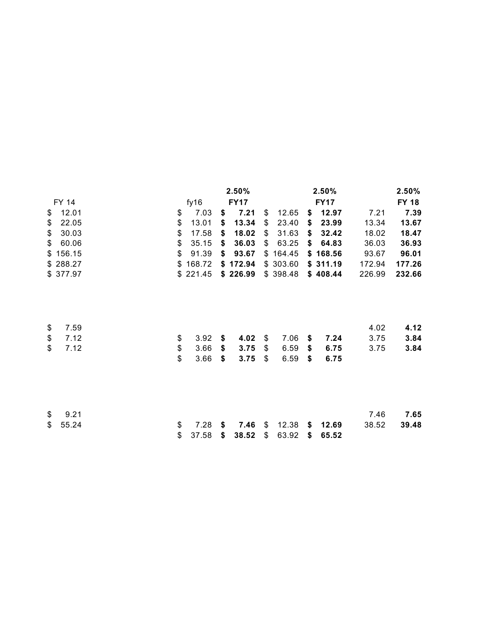|              |                                           |          |    | 2.50%       |             |    | 2.50%       |        | 2.50%        |
|--------------|-------------------------------------------|----------|----|-------------|-------------|----|-------------|--------|--------------|
| <b>FY 14</b> |                                           | fy16     |    | <b>FY17</b> |             |    | <b>FY17</b> |        | <b>FY 18</b> |
| \$<br>12.01  | \$                                        | 7.03     | \$ | 7.21        | \$<br>12.65 | \$ | 12.97       | 7.21   | 7.39         |
| \$<br>22.05  | \$                                        | 13.01    | \$ | 13.34       | \$<br>23.40 | \$ | 23.99       | 13.34  | 13.67        |
| \$<br>30.03  | \$                                        | 17.58    | \$ | 18.02       | \$<br>31.63 | \$ | 32.42       | 18.02  | 18.47        |
| \$<br>60.06  | \$                                        | 35.15    | \$ | 36.03       | \$<br>63.25 | \$ | 64.83       | 36.03  | 36.93        |
| \$156.15     | $\$\$                                     | 91.39    | \$ | 93.67       | \$164.45    |    | \$168.56    | 93.67  | 96.01        |
| \$288.27     | \$                                        | 168.72   |    | \$172.94    | \$303.60    |    | \$311.19    | 172.94 | 177.26       |
| \$377.97     |                                           | \$221.45 |    | \$226.99    | \$398.48    |    | \$408.44    | 226.99 | 232.66       |
|              |                                           |          |    |             |             |    |             |        |              |
| \$<br>7.59   |                                           |          |    |             |             |    |             | 4.02   | 4.12         |
| \$<br>7.12   | \$                                        | 3.92     | S  | 4.02        | \$<br>7.06  | \$ | 7.24        | 3.75   | 3.84         |
| \$<br>7.12   | $\, \, \raisebox{12pt}{$\scriptstyle \$}$ | 3.66     | \$ | 3.75        | \$<br>6.59  | \$ | 6.75        | 3.75   | 3.84         |
|              | \$                                        | 3.66     | \$ | 3.75        | \$<br>6.59  | \$ | 6.75        |        |              |
|              |                                           |          |    |             |             |    |             |        |              |
| \$<br>9.21   |                                           |          |    |             |             |    |             | 7.46   | 7.65         |
| \$<br>55.24  | \$                                        | 7.28     | S  | 7.46        | \$<br>12.38 | S. | 12.69       | 38.52  | 39.48        |
|              | \$                                        | 37.58    | \$ | 38.52       | \$<br>63.92 | \$ | 65.52       |        |              |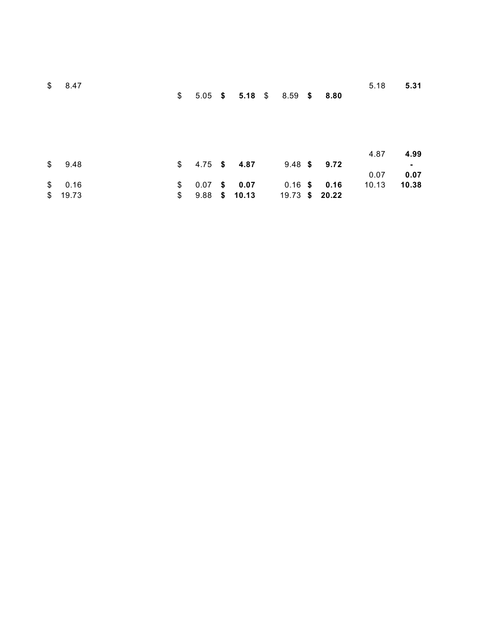| $\mathfrak s$ | 8.47    |               |  |                              |  |                  | 5.18  | 5.31  |
|---------------|---------|---------------|--|------------------------------|--|------------------|-------|-------|
|               |         | $\frac{1}{2}$ |  | 5.05 \$ 5.18 \$ 8.59 \$ 8.80 |  |                  |       |       |
|               |         |               |  |                              |  |                  |       |       |
|               |         |               |  |                              |  |                  |       |       |
|               |         |               |  |                              |  |                  |       |       |
|               |         |               |  |                              |  |                  |       |       |
|               |         |               |  |                              |  |                  | 4.87  |       |
|               |         |               |  |                              |  |                  |       | 4.99  |
|               | \$9.48  |               |  | $$4.75$ \$ 4.87              |  | $9.48$ \$ $9.72$ |       | ٠     |
|               |         |               |  |                              |  |                  | 0.07  | 0.07  |
| $\mathbb{S}$  | 0.16    | \$            |  | $0.07$ \$ 0.07               |  | $0.16$ \$ 0.16   | 10.13 | 10.38 |
|               | \$19.73 | \$            |  | 9.88 \$ 10.13 19.73 \$ 20.22 |  |                  |       |       |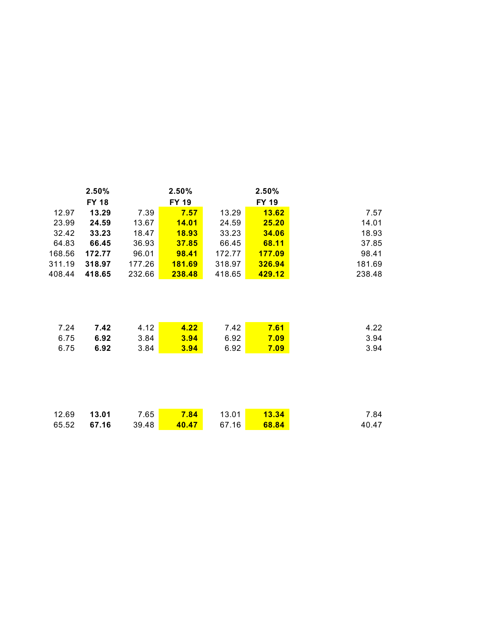|        | 2.50%<br><b>FY 18</b> |        | 2.50%<br><b>FY 19</b> |        | 2.50%<br><b>FY 19</b> |        |
|--------|-----------------------|--------|-----------------------|--------|-----------------------|--------|
| 12.97  | 13.29                 | 7.39   | 7.57                  | 13.29  | 13.62                 | 7.57   |
| 23.99  | 24.59                 | 13.67  | 14.01                 | 24.59  | 25.20                 | 14.01  |
| 32.42  | 33.23                 | 18.47  | <u>18.93</u>          | 33.23  | 34.06                 | 18.93  |
| 64.83  | 66.45                 | 36.93  | 37.85                 | 66.45  | 68.11                 | 37.85  |
| 168.56 | 172.77                | 96.01  | 98.41                 | 172.77 | 177.09                | 98.41  |
| 311.19 | 318.97                | 177.26 | <u>181.69</u>         | 318.97 | <b>326.94</b>         | 181.69 |
| 408.44 | 418.65                | 232.66 | 238.48                | 418.65 | 429.12                | 238.48 |
| 7.24   | 7.42                  | 4.12   | 4.22                  | 7.42   | 7.61                  | 4.22   |
| 6.75   | 6.92                  | 3.84   | 3.94                  | 6.92   | 7.09                  | 3.94   |
| 6.75   | 6.92                  | 3.84   | 3.94                  | 6.92   | 7.09                  | 3.94   |
|        |                       |        |                       |        |                       |        |
| 12.69  | 13.01                 | 7.65   | 7.84                  | 13.01  | <b>13.34</b>          | 7.84   |
| 65.52  | 67.16                 | 39.48  | 40.47                 | 67.16  | 68.84                 | 40.47  |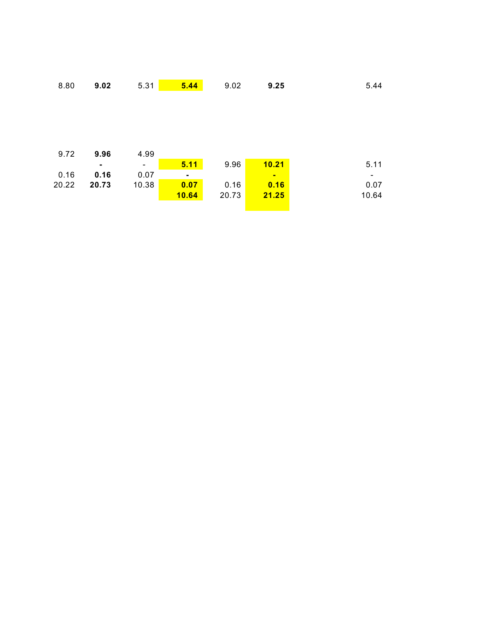| 8.80  | 9.02  | 5.31                     | 5.44           | 9.02  | 9.25           | 5.44                     |
|-------|-------|--------------------------|----------------|-------|----------------|--------------------------|
|       |       |                          |                |       |                |                          |
|       |       |                          |                |       |                |                          |
|       |       |                          |                |       |                |                          |
|       |       |                          |                |       |                |                          |
|       |       |                          |                |       |                |                          |
| 9.72  | 9.96  | 4.99                     |                |       |                |                          |
|       | ۰     | $\overline{\phantom{a}}$ | 5.11           | 9.96  | 10.21          | 5.11                     |
| 0.16  | 0.16  | 0.07                     | $\blacksquare$ |       | $\blacksquare$ | $\overline{\phantom{a}}$ |
|       |       |                          |                |       |                |                          |
| 20.22 | 20.73 | 10.38                    | 0.07           | 0.16  | 0.16           | 0.07                     |
|       |       |                          | <b>10.64</b>   | 20.73 | 21.25          | 10.64                    |
|       |       |                          |                |       |                |                          |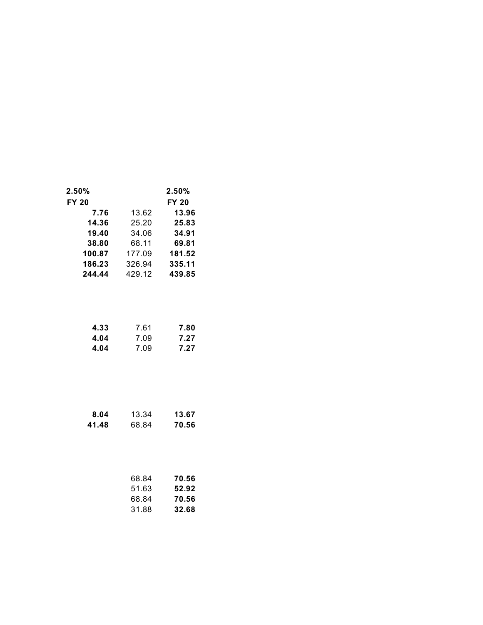| 2.50%<br><b>FY 20</b> |        | 2.50%<br><b>FY 20</b> |
|-----------------------|--------|-----------------------|
| 7.76                  | 13.62  | 13.96                 |
| 14.36                 | 25.20  | 25.83                 |
| 19.40                 | 34.06  | 34.91                 |
| 38.80                 | 68.11  | 69.81                 |
| 100.87                | 177.09 | 181.52                |
| 186.23                | 326.94 | 335.11                |
| 244.44                | 429.12 | 439.85                |
|                       |        |                       |

| 4.33 | 7.61 | 7.80 |
|------|------|------|
| 4.04 | 7.09 | 7.27 |
| 4.04 | 7.09 | 7.27 |

| 8.04  | 13.34 | 13.67 |
|-------|-------|-------|
| 41.48 | 68.84 | 70.56 |

| 68.84 | 70.56 |
|-------|-------|
| 51.63 | 52.92 |
| 68.84 | 70.56 |
| 31.88 | 32.68 |